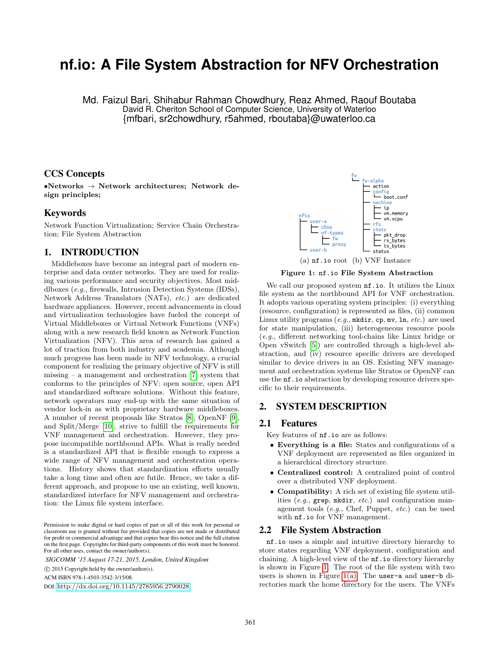# **nf.io: A File System Abstraction for NFV Orchestration**

Md. Faizul Bari, Shihabur Rahman Chowdhury, Reaz Ahmed, Raouf Boutaba David R. Cheriton School of Computer Science, University of Waterloo {mfbari, sr2chowdhury, r5ahmed, rboutaba}@uwaterloo.ca

# CCS Concepts

•Networks  $\rightarrow$  Network architectures; Network design principles;

# Keywords

Network Function Virtualization; Service Chain Orchestration; File System Abstraction

# 1. INTRODUCTION

Middleboxes have become an integral part of modern enterprise and data center networks. They are used for realizing various performance and security objectives. Most middlboxes (e.g., firewalls, Intrusion Detection Systems (IDSs), Network Address Translators (NATs), etc.) are dedicated hardware appliances. However, recent advancements in cloud and virtualization technologies have fueled the concept of Virtual Middleboxes or Virtual Network Functions (VNFs) along with a new research field known as Network Function Virtualization (NFV). This area of research has gained a lot of traction from both industry and academia. Although much progress has been made in NFV technology, a crucial component for realizing the primary objective of NFV is still missing – a management and orchestration  $[7]$  system that conforms to the principles of NFV: open source, open API and standardized software solutions. Without this feature, network operators may end-up with the same situation of vendor lock-in as with proprietary hardware middleboxes. A number of recent proposals like Stratos [\[8\]](#page-1-1), OpenNF [\[9\]](#page-1-2), and Split/Merge [\[10\]](#page-1-3), strive to fulfill the requirements for VNF management and orchestration. However, they propose incompatible northbound APIs. What is really needed is a standardized API that is flexible enough to express a wide range of NFV management and orchestration operations. History shows that standardization efforts usually take a long time and often are futile. Hence, we take a different approach, and propose to use an existing, well known, standardized interface for NFV management and orchestration: the Linux file system interface.

*SIGCOMM '15 August 17-21, 2015, London, United Kingdom*

c 2015 Copyright held by the owner/author(s).

ACM ISBN 978-1-4503-3542-3/15/08.

DOI: <http://dx.doi.org/10.1145/2785956.2790028>

<span id="page-0-1"></span>

<span id="page-0-2"></span><span id="page-0-0"></span>Figure 1: nf.io File System Abstraction

We call our proposed system **nf.io.** It utilizes the Linux file system as the northbound API for VNF orchestration. It adopts various operating system principles: (i) everything (resource, configuration) is represented as files, (ii) common Linux utility programs  $(e.g., \text{mkdir}, cp, mv, ln, etc.)$  are used for state manipulation, (iii) heterogeneous resource pools (e.g., different networking tool-chains like Linux bridge or Open vSwitch [\[5\]](#page-1-4)) are controlled through a high-level abstraction, and (iv) resource specific drivers are developed similar to device drivers in an OS. Existing NFV management and orchestration systems like Stratos or OpenNF can use the nf.io abstraction by developing resource drivers specific to their requirements.

# 2. SYSTEM DESCRIPTION

# 2.1 Features

Key features of nf.io are as follows:

- Everything is a file: States and configurations of a VNF deployment are represented as files organized in a hierarchical directory structure.
- Centralized control: A centralized point of control over a distributed VNF deployment.
- Compatibility: A rich set of existing file system utilities  $(e.g., \text{prep}, \text{mkdir}, etc.)$  and configuration management tools (e.g., Chef, Puppet, etc.) can be used with nf.io for VNF management.

#### 2.2 File System Abstraction

nf.io uses a simple and intuitive directory hierarchy to store states regarding VNF deployment, configuration and chaining. A high-level view of the nf.io directory hierarchy is shown in Figure [1.](#page-0-0) The root of the file system with two users is shown in Figure [1\(a\).](#page-0-1) The user-a and user-b directories mark the home directory for the users. The VNFs

Permission to make digital or hard copies of part or all of this work for personal or classroom use is granted without fee provided that copies are not made or distributed for profit or commercial advantage and that copies bear this notice and the full citation on the first page. Copyrights for third-party components of this work must be honored. For all other uses, contact the owner/author(s).